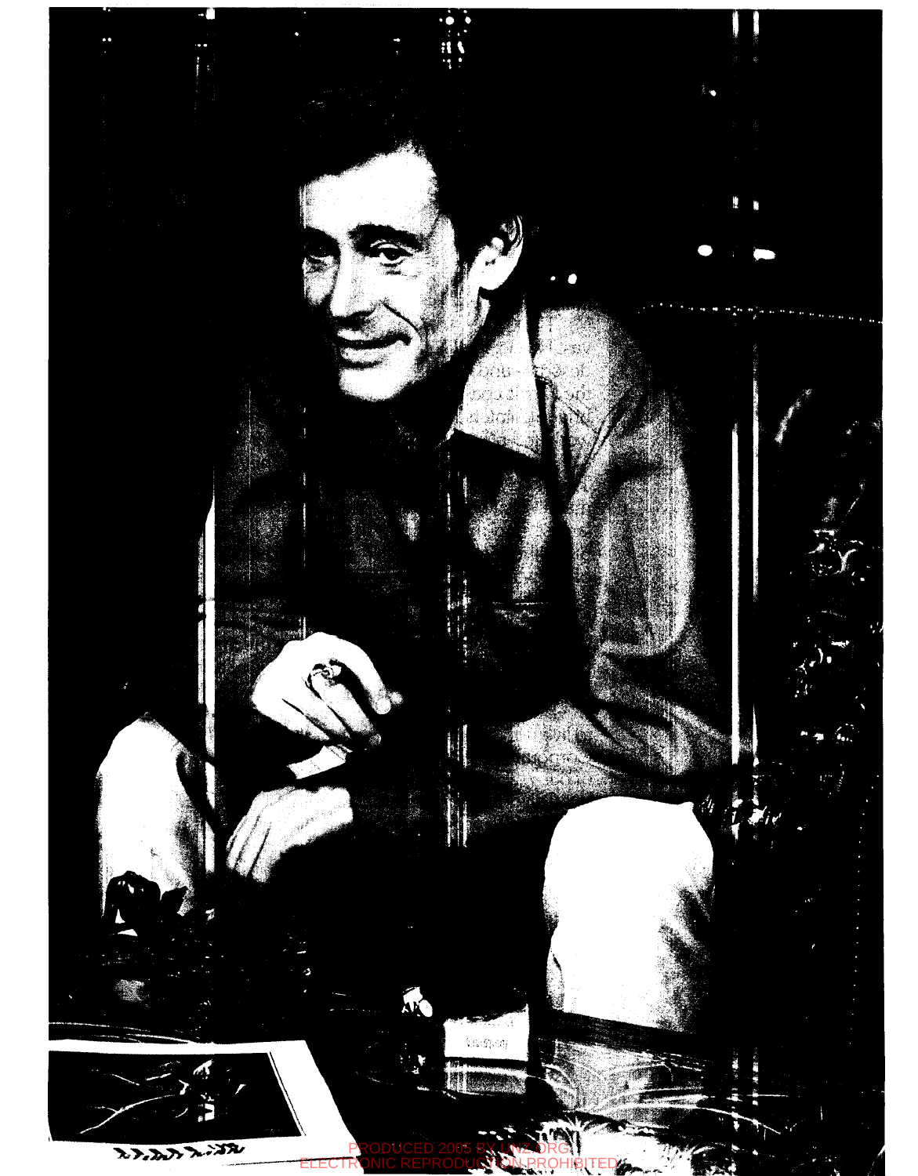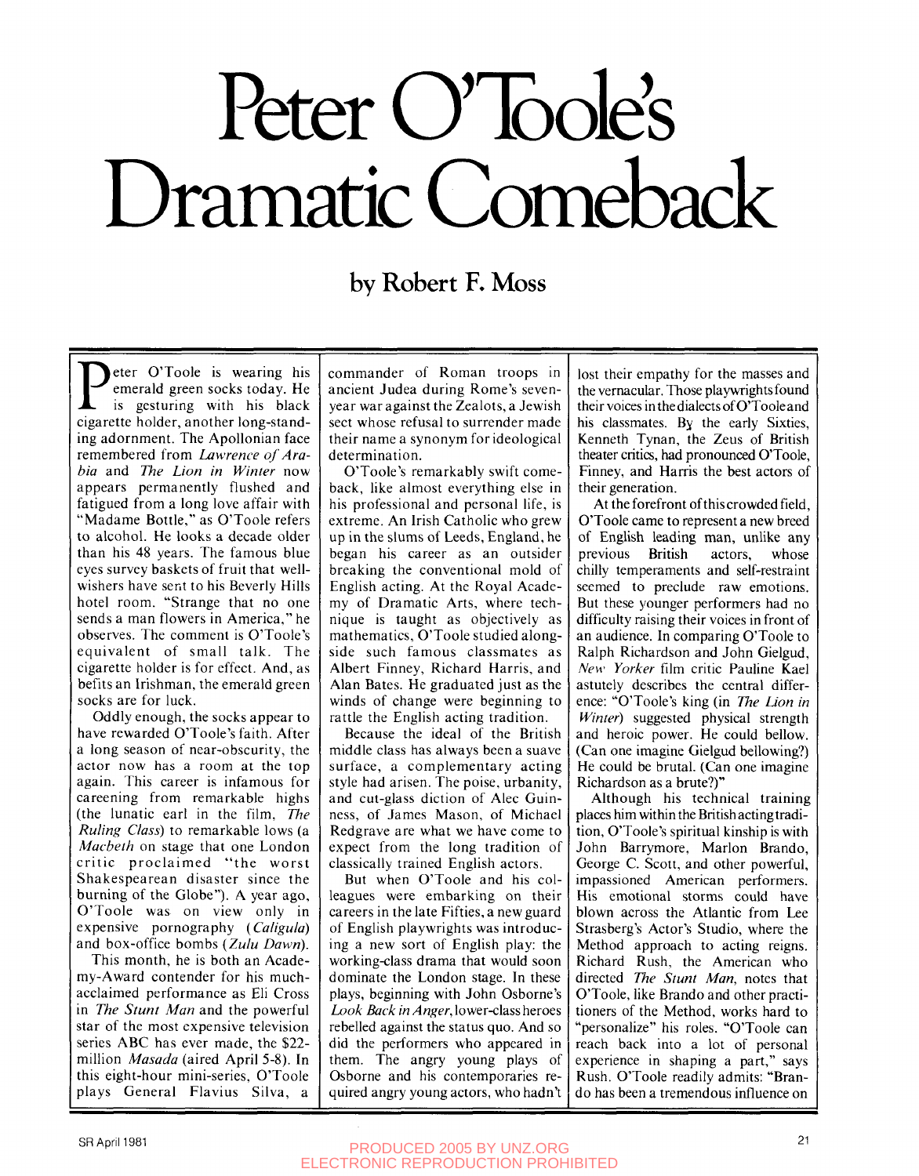# Peter O'Toole's Dramatic Comeback

## by Robert F. Moss

**P**eter O'Toole is wearing his<br>emerald green socks today. He<br>cigarette holder, another long-standeter O'Toole is wearing his emerald green socks today. He is gesturing with his black ing adornment. The Apollonian face remembered from *Lawrence of Arabia* and *The Lion in Winter* now appears permanently flushed and fatigued from a long love affair with "Madame Bottle," as O'Toole refers to alcohol. He looks a decade older than his 48 years. The famous blue eyes survey baskets of fruit that wellwishers have sent to his Beverly Hills hotel room. "Strange that no one sends a man flowers in America," he observes. The comment is O'Toole's equivalent of small talk. The cigarette holder is for effect. And, as befits an Irishman, the emerald green socks are for luck.

Oddly enough, the socks appear to have rewarded O'Toole's faith. After a long season of near-obscurity, the actor now has a room at the top again. This career is infamous for careening from remarkable highs (the lunatic earl in the film, *The Ruling Class*) to remarkable lows (a *Macbeth* on stage that one London critic proclaimed "the worst Shakespearean disaster since the burning of the Globe"). A year ago, O'Toole was on view only in expensive pornography *{Caligula)*  and box-office bombs *(Zulu Dawn).* 

This month, he is both an Academy-Award contender for his muchacclaimed performance as Eli Cross in *The Stunt Man* and the powerful star of the most expensive television series ABC has ever made, the \$22 million *Masada* (aired April 5-8). In this eight-hour mini-series, O'Toole plays General Flavius Silva, a

commander of Roman troops in ancient Judea during Rome's sevenyear war against the Zealots, a Jewish sect whose refusal to surrender made their name a synonym for ideological determination.

O'Toole's remarkably swift comeback, like almost everything else in his professional and personal life, is extreme. An Irish Catholic who grew up in the slums of Leeds, England, he began his career as an outsider breaking the conventional mold of English acting. At the Royal Academy of Dramatic Arts, where technique is taught as objectively as mathematics, O'Toole studied alongside such famous classmates as Albert Finney, Richard Harris, and Alan Bates. He graduated just as the winds of change were beginning to rattle the English acting tradition.

Because the ideal of the British middle class has always been a suave surface, a complementary acting style had arisen. The poise, urbanity, and cut-glass diction of Alec Guinness, of James Mason, of Michael Redgrave are what we have come to expect from the long tradition of classically trained English actors.

But when O'Toole and his colleagues were embarking on their careers in the late Fifties, a new guard of English playwrights was introducing a new sort of English play: the working-class drama that would soon dominate the London stage. In these plays, beginning with John Osborne's *Look Back in Anger,* lower-class heroes rebelled against the status quo. And so did the performers who appeared in them. The angry young plays of Osborne and his contemporaries required angry young actors, who hadn't

lost their empathy for the masses and the vernacular. Those playwrights found their voices in the dialects of O'Tooleand his classmates. By the early Sixties, Kenneth Tynan, the Zeus of British theater critics, had pronounced O'Toole, Finney, and Harris the best actors of their generation.

At the forefront of this crowded field, O'Toole came to represent a new breed of English leading man, unlike any previous British actors, whose chilly temperaments and self-restraint seemed to preclude raw emotions. But these younger performers had no difficulty raising their voices in front of an audience. In comparing O'Toole to Ralph Richardson and John Gielgud, Λ'έ'Η· *Yorker* film critic Pauline Kael astutely describes the central difference: "O'Toole's king (in *The Lion in Winter)* suggested physical strength and heroic power. He could bellow. (Can one imagine Gielgud bellowing?) He could be brutal. (Can one imagine Richardson as a brute?)"

Although his technical training places him within the British acting tradition, O'Toole's spiritual kinship is with John Barrymore, Marlon Brando, George C. Scott, and other powerful, impassioned American performers. His emotional storms could have blown across the Atlantic from Lee Strasberg's Actor's Studio, where the Method approach to acting reigns. Richard Rush, the American who directed *The Stunt Man,* notes that O'Toole, like Brando and other practitioners of the Method, works hard to "personalize" his roles. "O'Toole can reach back into a lot of personal experience in shaping a part," says Rush. O'Toole readily admits: "Brando has been a tremendous influence on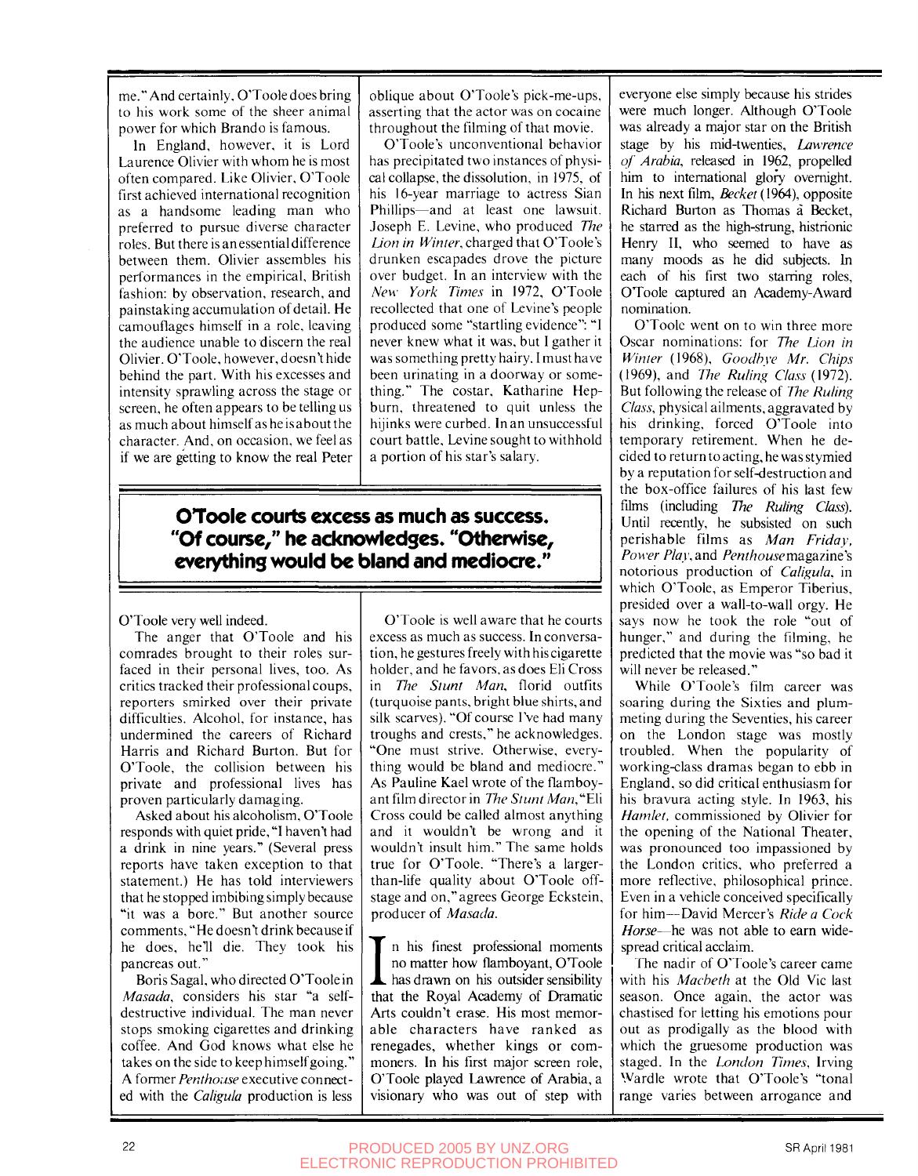me."And certainly. O'Toole does bring to his work some of the sheer animal power for which Brando is famous.

In England, however, it is Lord Laurence Olivier with whom he is most often compared. Like Olivier, O'Toole first achieved international recognition as a handsome leading man who preferred to pursue diverse character roles. But there is an essential difference between them. Olivier assembles his performances in the empirical, British fashion: by observation, research, and painstaking accumulation of detail. He camouflages himself in a role, leaving the audience unable to discern the real Olivier. O'Toole, however, doesn't hide behind the part. With his excesses and intensity sprawling across the stage or screen, he often appears to be telling us as much about himself as he is about the character. And, on occasion, we feel as if we are getting to know the real Peter

oblique about O'Toole's pick-me-ups, asserting that the actor was on cocaine throughout the filming of that movie.

O'Toole's unconventional behavior has precipitated two instances of physical collapse, the dissolution, in 1975, of his 16-year marriage to actress Sian Phillips—and at least one lawsuit. Joseph E. Levine, who produced *The Lion in Winter,* charged that O'Toole's drunken escapades drove the picture over budget. In an interview with the *New York Times* in 1972, O'Toole recollected that one of Levine's people produced some "startling evidence": "I never knew what it was, but I gather it was something pretty hairy. I must have been urinating in a doorway or something." The costar, Katharine Hepburn, threatened to quit unless the hijinks were curbed. In an unsuccessful court battle, Levine sought to withhold a portion of his star's salary.

### **OToole courts excess as much as success. "Of course," he acknowledges. "Otherwise, everything would be bland and mediocre."**

#### O'Toole very well indeed.

The anger that O'Toole and his comrades brought to their roles surfaced in their personal lives, too. As critics tracked their professional coups, reporters smirked over their private difficulties. Alcohol, for instance, has undermined the careers of Richard Harris and Richard Burton. But for O'Toole, the collision between his private and professional lives has proven particularly damaging.

Asked about his alcoholism, O'Toole responds with quiet pride, "I haven't had a drink in nine years." (Several press reports have taken exception to that statement.) He has told interviewers that he stopped imbibing simply because "it was a bore." But another source comments, "He doesn't drink because if he does, he'll die. They took his pancreas out."

Boris Sagal, who directed O'Toole in *Masada,* considers his star "a selfdestructive individual. The man never stops smoking cigarettes and drinking coffee. And God knows what else he takes on the side to keep himself going." A former *Penthouse* executive connected with the *Caligula* production is less

O'Toole is well aware that he courts excess as much as success. In conversation, he gestures freely with his cigarette holder, and he favors, as does Eli Cross in *The Stunt Man*, florid outfits (turquoise pants, bright blue shirts, and silk scarves). "Of course I've had many troughs and crests," he acknowledges. "One must strive. Otherwise, everything would be bland and mediocre." As Pauline Kael wrote of the flamboyant film director in *The Stunt Μαη,^'Έλχ*  Cross could be called almost anything and it wouldn't be wrong and it wouldn't insult him." The same holds true for O'Toole. "There's a largerthan-life quality about O'Toole offstage and on," agrees George Eckstein, producer of *Masada.* 

In his finest professional moments<br>no matter how flamboyant, OToole<br>has drawn on his outsider sensibility<br>that the Royal Academy of Dramatic n his finest professional moments no matter how flamboyant, OToole that the Royal Academy of Dramatic Arts couldn't erase. His most memorable characters have ranked as renegades, whether kings or commoners. In his first major screen role, O'Toole played Lawrence of Arabia, a visionary who was out of step with

everyone else simply because his strides were much longer. Although O'Toole was already a major star on the British stage by his mid-twenties, *Lawrence of Arabia,* released in 1962, propelled him to international glory overnight. In his next film, *Becket* (1964), opposite Richard Burton as Thomas a Becket, he starred as the high-strung, histrionic Henry II, who seemed to have as many moods as he did subjects. In each of his first two starring roles, OToole captured an Academy-Award nomination.

O'Toole went on to win three more Oscar nominations; for *The Lion in Winter* (1968), *Goodhve Mr. Chips*  (1969), and *The Ruling Class* (1972). But following the release of *Vie Ruling Class,* physical ailments, aggravated by his drinking, forced O'Toole into temporary retirement. When he decided to return to acting, he was stymied by a reputation for self-destruction and the box-office failures of his last few films (including *The Ruling Class).*  Until recently, he subsisted on such perishable films as *Man Friday, Power Play, and Penthouse magazine's* notorious production of *Caligula,* in which O'Toole, as Emperor Tiberius, presided over a wall-to-wall orgy. He says now he took the role "out of hunger," and during the filming, he predicted that the movie was "so bad it will never be released."

While O'Toole's film career was soaring during the Sixties and plummeting during the Seventies, his career on the London stage was mostly troubled. When the popularity of working-class dramas began to ebb in England, so did critical enthusiasm for his bravura acting style. In 1963, his *Hamlet,* commissioned by Olivier for the opening of the National Theater, was pronounced too impassioned by the London critics, who preferred a more reflective, philosophical prince. Even in a vehicle conceived specifically for him—David Mercer's *Ride a Cock Horse*—he was not able to earn widespread critical acclaim.

The nadir of O'Toole's career came with his *Macbeth* at the Old Vic last season. Once again, the actor was chastised for letting his emotions pour out as prodigally as the blood with which the gruesome production was staged. In the *London Times,* Irving Wardle wrote that O'Toole's "tonal range varies between arrogance and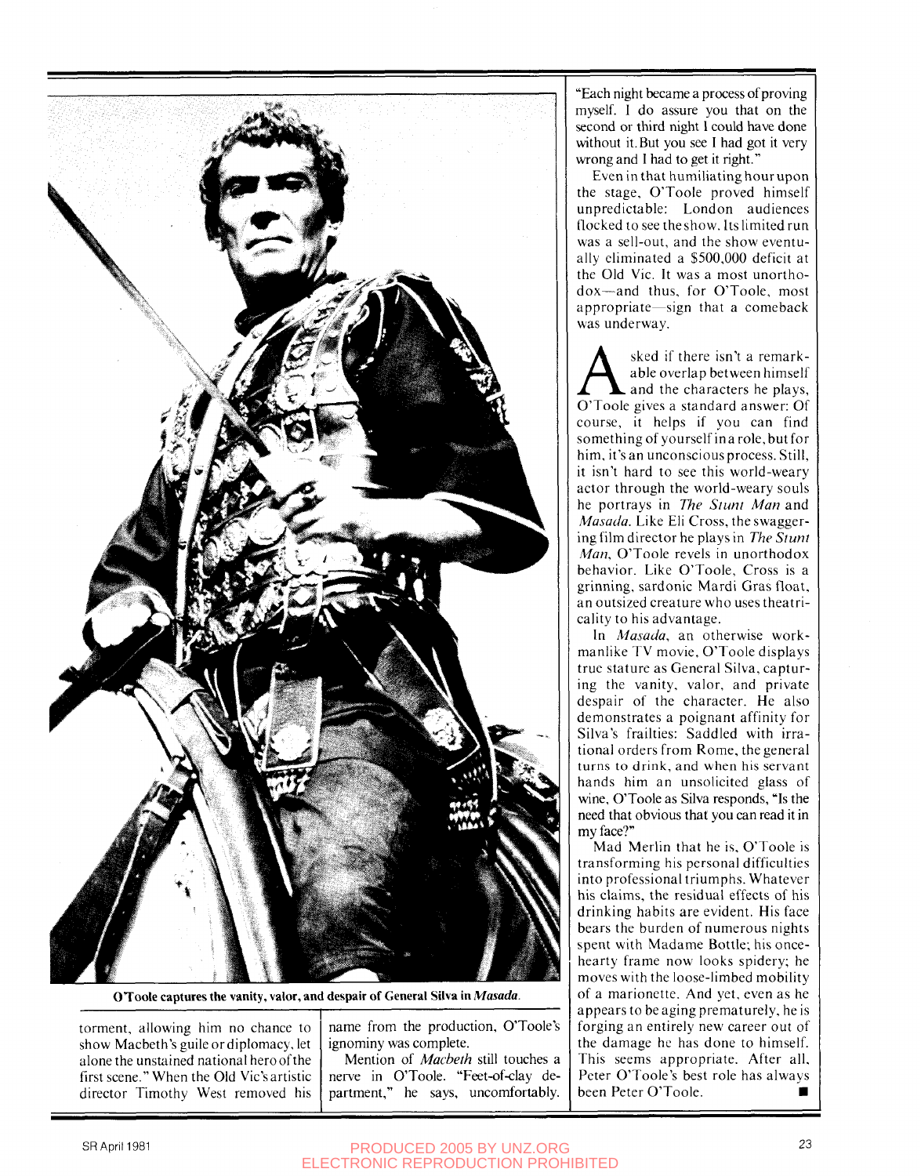

OTooIe captures the vanity, valor, and despair of General Silva in *Masada.* 

torment, allowing him no chance to show Macbeth's guile or diplomacy, let alone the unstained national hero of the first scene." When the Old Vic's artistic director Timothy West removed his name from the production, O'Toole's ignominy was complete.

Mention of *Macbeth* still touches a nerve in O'Toole. "Feet-of-clay department," he says, uncomfortably.

"Each night became a process of proving myself. I do assure you that on the second or third night 1 could have done without it. But you see I had got it very wrong and I had to get it right."

Even in that humiliating hourupon the stage, O'Toole proved himself unpredictable: London audiences flocked to see the show. Its limited run was a sell-out, and the show eventually eliminated a \$500,000 deficit at the Old Vic. It was a most unorthodox—and thus, for O'Toole, most appropriate—sign that a comeback was underway.

Sked if there isn't a remark-<br>able overlap between himself<br>O'Toole gives a standard answer: Of sked if there isn't a remarkable overlap between himself and the characters he plays, course, it helps if you can find somethingof yourself in a role, but for him, it's an unconscious process. Still, it isn't hard to see this world-weary actor through the world-weary souls he portrays in *The Stunt Man* and *Masada.* Like Eli Cross, the swaggering film director he plays in *The Stunt Man,* O'Toole revels in unorthodox behavior. Like O'Toole, Cross is a grinning, sardonic Mardi Gras float, an outsized creature who uses theatricality to his advantage.

In *Masada,* an otherwise workmanlike TV movie, O'Toole displays true stature as General Silva, capturing the vanity, valor, and private despair of the character. He also demonstrates a poignant affinity for Silva's frailties: Saddled with irrational orders from Rome, the general turns to drink, and when his servant hands him an unsolicited glass of wine, O'Toole as Silva responds, "Is the need that obvious that you can read it in my face?"

Mad Merlin that he is, O'Toole is transforming his personal difficulties into professional triumphs. Whatever his claims, the residual effects of his drinking habits are evident. His face bears the burden of numerous nights spent with Madame Bottle; his oncehearty frame now looks spidery; he moves with the loose-limbed mobility of a marionette. And yet, even as he appears to be aging prematurely, he is forging an entirely new career out of the damage he has done to himself. This seems appropriate. After all, Peter O'Toole's best role has always been Peter O'Toole.

SR April 1981 **23** PRODUCED 2005 BY UNZ.ORG ELECTRONIC REPRODUCTION PROHIBITED